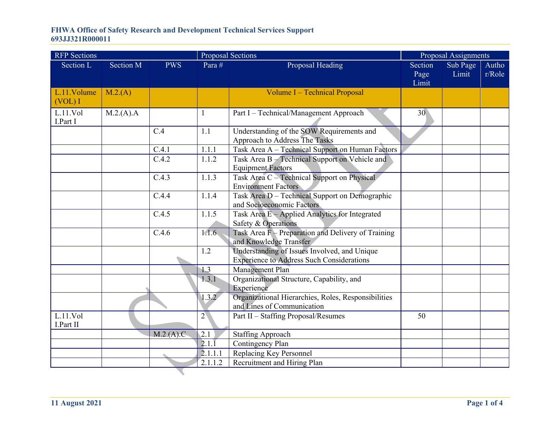| <b>RFP</b> Sections   |           |            | <b>Proposal Sections</b> |                                                                                                  | Proposal Assignments     |                   |                 |
|-----------------------|-----------|------------|--------------------------|--------------------------------------------------------------------------------------------------|--------------------------|-------------------|-----------------|
| Section L             | Section M | <b>PWS</b> | Para #                   | Proposal Heading                                                                                 | Section<br>Page<br>Limit | Sub Page<br>Limit | Autho<br>r/Role |
| L.11.Volume<br>(VOL)I | M.2(A)    |            |                          | Volume I - Technical Proposal                                                                    |                          |                   |                 |
| L.11.Vol<br>I.Part I  | M.2(A).A  |            | 1                        | Part I - Technical/Management Approach                                                           | 30                       |                   |                 |
|                       |           | C.4        | 1.1                      | Understanding of the SOW Requirements and<br>Approach to Address The Tasks                       |                          |                   |                 |
|                       |           | C.4.1      | 1.1.1                    | Task Area A - Technical Support on Human Factors                                                 |                          |                   |                 |
|                       |           | C.4.2      | 1.1.2                    | Task Area B - Technical Support on Vehicle and<br><b>Equipment Factors</b>                       |                          |                   |                 |
|                       |           | C.4.3      | 1.1.3                    | Task Area C - Technical Support on Physical<br><b>Environment Factors</b>                        |                          |                   |                 |
|                       |           | C.4.4      | 1.1.4                    | Task Area D - Technical Support on Demographic<br>and Socioeconomic Factors                      |                          |                   |                 |
|                       |           | C.4.5      | 1.1.5                    | Task Area E - Applied Analytics for Integrated<br>Safety & Operations                            |                          |                   |                 |
|                       |           | C.4.6      | 1.1.6                    | Task Area $F -$ Preparation and Delivery of Training<br>and Knowledge Transfer                   |                          |                   |                 |
|                       |           |            | 1.2                      | Understanding of Issues Involved, and Unique<br><b>Experience to Address Such Considerations</b> |                          |                   |                 |
|                       |           |            | 1.3                      | Management Plan                                                                                  |                          |                   |                 |
|                       |           |            | 1.3.1                    | Organizational Structure, Capability, and<br>Experience                                          |                          |                   |                 |
|                       |           |            | 1.3.2                    | Organizational Hierarchies, Roles, Responsibilities<br>and Lines of Communication                |                          |                   |                 |
| L.11.Vol<br>I.Part II |           |            | $2^{\setminus}$          | Part II - Staffing Proposal/Resumes                                                              | 50                       |                   |                 |
|                       |           | M.2.(A).C  | 2.1                      | <b>Staffing Approach</b>                                                                         |                          |                   |                 |
|                       |           |            | $2.1.\overline{1}$       | Contingency Plan                                                                                 |                          |                   |                 |
|                       |           |            | 2.1.1.1                  | Replacing Key Personnel                                                                          |                          |                   |                 |
|                       |           |            | 2.1.1.2                  | Recruitment and Hiring Plan                                                                      |                          |                   |                 |
|                       |           |            |                          |                                                                                                  |                          |                   |                 |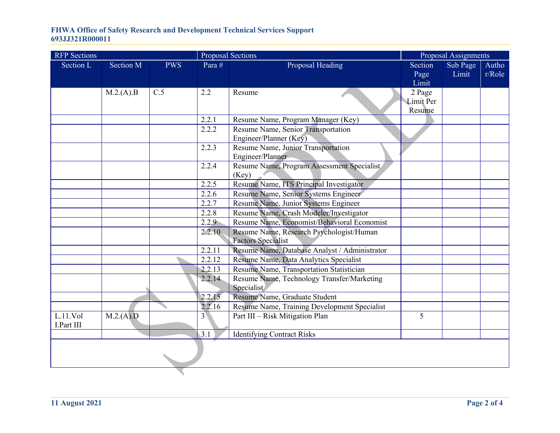| <b>RFP</b> Sections |           |            | <b>Proposal Sections</b> |                                                          | Proposal Assignments |          |        |
|---------------------|-----------|------------|--------------------------|----------------------------------------------------------|----------------------|----------|--------|
| Section L           | Section M | <b>PWS</b> | Para #                   | Proposal Heading                                         | Section              | Sub Page | Autho  |
|                     |           |            |                          |                                                          | Page                 | Limit    | r/Role |
|                     |           |            |                          |                                                          | Limit                |          |        |
|                     | M.2.(A).B | C.5        | 2.2                      | Resume                                                   | 2 Page               |          |        |
|                     |           |            |                          |                                                          | <b>Limit Per</b>     |          |        |
|                     |           |            |                          |                                                          | Resume               |          |        |
|                     |           |            | 2.2.1                    | Resume Name, Program Manager (Key)                       |                      |          |        |
|                     |           |            | 2.2.2                    | Resume Name, Senior Transportation                       |                      |          |        |
|                     |           |            |                          | Engineer/Planner (Key)                                   |                      |          |        |
|                     |           |            | 2.2.3                    | Resume Name, Junior Transportation                       |                      |          |        |
|                     |           |            |                          | Engineer/Planner                                         |                      |          |        |
|                     |           |            | 2.2.4                    | Resume Name, Program Assessment Specialist               |                      |          |        |
|                     |           |            |                          | (Key)                                                    |                      |          |        |
|                     |           |            | 2.2.5                    | Resume Name, ITS Principal Investigator                  |                      |          |        |
|                     |           |            | 2.2.6                    | Resume Name, Senior Systems Engineer                     |                      |          |        |
|                     |           |            | 2.2.7                    | Resume Name, Junior Systems Engineer                     |                      |          |        |
|                     |           |            | 2.2.8                    | Resume Name, Crash Modeler/Investigator                  |                      |          |        |
|                     |           |            | 2.2.9                    | Resume Name, Economist/Behavioral Economist              |                      |          |        |
|                     |           |            | 2.2.10                   | Resume Name, Research Psychologist/Human                 |                      |          |        |
|                     |           |            |                          | <b>Factors Specialist</b>                                |                      |          |        |
|                     |           |            | 2.2.11<br>2.2.12         | Resume Name, Database Analyst / Administrator            |                      |          |        |
|                     |           |            |                          | Resume Name, Data Analytics Specialist                   |                      |          |        |
|                     |           |            | 2.2.13                   | Resume Name, Transportation Statistician                 |                      |          |        |
|                     |           |            | 2.2.14                   | Resume Name, Technology Transfer/Marketing<br>Specialist |                      |          |        |
|                     |           |            | 2.2.15                   | Resume Name, Graduate Student                            |                      |          |        |
|                     |           |            | $2.\overline{2.16}$      | Resume Name, Training Development Specialist             |                      |          |        |
| L.11.Vol            |           |            | 3 <sup>1</sup>           |                                                          | 5                    |          |        |
| I.Part III          | M.2.(A).D |            |                          | Part III - Risk Mitigation Plan                          |                      |          |        |
|                     |           |            | 3.1                      | <b>Identifying Contract Risks</b>                        |                      |          |        |
|                     |           |            |                          |                                                          |                      |          |        |
|                     |           |            |                          |                                                          |                      |          |        |
|                     |           |            |                          |                                                          |                      |          |        |
|                     |           |            |                          |                                                          |                      |          |        |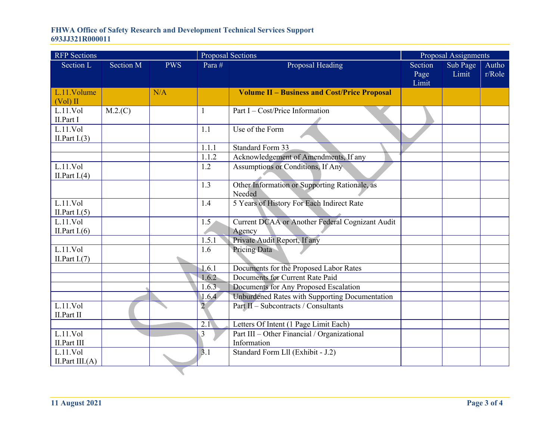| <b>RFP</b> Sections |           |            | <b>Proposal Sections</b> |                                                     | Proposal Assignments |          |        |
|---------------------|-----------|------------|--------------------------|-----------------------------------------------------|----------------------|----------|--------|
| Section L           | Section M | <b>PWS</b> | Para #                   | Proposal Heading                                    | Section              | Sub Page | Autho  |
|                     |           |            |                          |                                                     | Page                 | Limit    | r/Role |
|                     |           |            |                          |                                                     | Limit                |          |        |
| L.11.Volume         |           | N/A        |                          | <b>Volume II - Business and Cost/Price Proposal</b> |                      |          |        |
| $(Vol)$ II          |           |            |                          |                                                     |                      |          |        |
| L.11.Vol            | M.2(C)    |            | 1                        | Part I – Cost/Price Information                     |                      |          |        |
| II.Part I           |           |            |                          |                                                     |                      |          |        |
| L.11.Vol            |           |            | 1.1                      | Use of the Form                                     |                      |          |        |
| II. Part $I.(3)$    |           |            |                          |                                                     |                      |          |        |
|                     |           |            | 1.1.1                    | <b>Standard Form 33</b>                             |                      |          |        |
|                     |           |            | 1.1.2                    | Acknowledgement of Amendments, If any               |                      |          |        |
| L.11.Vol            |           |            | 1.2                      | Assumptions or Conditions, If Any                   |                      |          |        |
| II. Part $I(4)$     |           |            |                          |                                                     |                      |          |        |
|                     |           |            | 1.3                      | Other Information or Supporting Rationale, as       |                      |          |        |
|                     |           |            |                          | Needed                                              |                      |          |        |
| L.11.Vol            |           |            | 1.4                      | 5 Years of History For Each Indirect Rate           |                      |          |        |
| II. Part $I(5)$     |           |            |                          |                                                     |                      |          |        |
| L.11.Vol            |           |            | 1.5 <sub>l</sub>         | Current DCAA or Another Federal Cognizant Audit     |                      |          |        |
| II. Part $I(6)$     |           |            | 1.5.1                    | Agency                                              |                      |          |        |
|                     |           |            |                          | Private Audit Report, If any                        |                      |          |        |
| L.11.Vol            |           |            | 1.6                      | <b>Pricing Data</b>                                 |                      |          |        |
| II. Part $I.(7)$    |           |            |                          |                                                     |                      |          |        |
|                     |           |            | 1.6.1                    | Documents for the Proposed Labor Rates              |                      |          |        |
|                     |           |            | 1.6.2                    | Documents for Current Rate Paid                     |                      |          |        |
|                     |           |            | 1.6.3                    | Documents for Any Proposed Escalation               |                      |          |        |
|                     |           |            | 1.6.4                    | Unburdened Rates with Supporting Documentation      |                      |          |        |
| L.11.Vol            |           |            | $\overline{2}$           | Part II - Subcontracts / Consultants                |                      |          |        |
| II.Part II          |           |            |                          |                                                     |                      |          |        |
|                     |           |            | 2.1                      | Letters Of Intent (1 Page Limit Each)               |                      |          |        |
| L.11.Vol            |           |            | 3                        | Part III - Other Financial / Organizational         |                      |          |        |
| II.Part III         |           |            |                          | Information                                         |                      |          |        |
| L.11.Vol            |           |            | 3.1                      | Standard Form Lll (Exhibit - J.2)                   |                      |          |        |
| II. Part III. $(A)$ |           |            |                          |                                                     |                      |          |        |
|                     |           |            |                          |                                                     |                      |          |        |